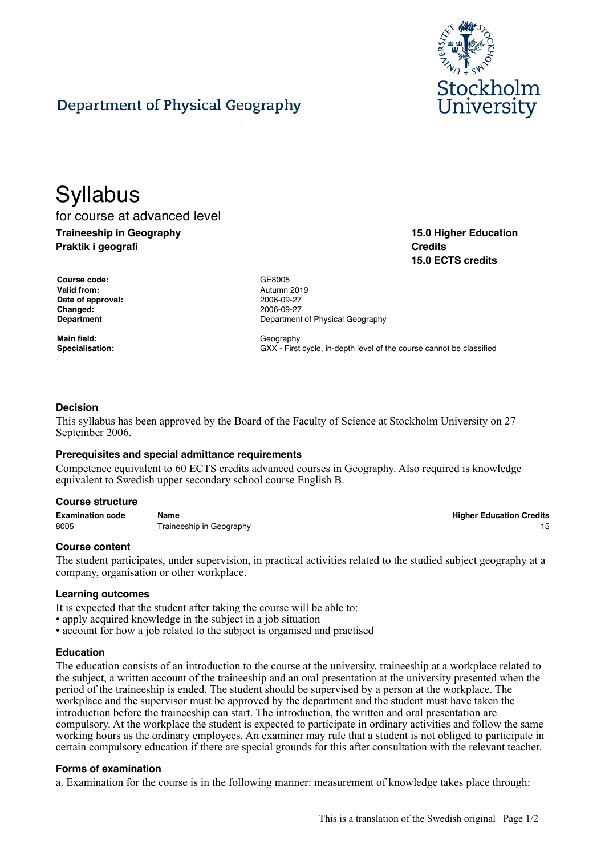

# Department of Physical Geography

## **Syllabus** for course at advanced level **Traineeship in Geography**

**Praktik i geografi**

**15.0 Higher Education Credits 15.0 ECTS credits**

| <b>Course code:</b> |
|---------------------|
| <b>Valid from:</b>  |
| Date of approval:   |
| Changed:            |
| Department          |
|                     |

Main field: **Main field:** Geography

**Course code:** GE8005 **Valid from:** Autumn 2019 **Date of approval:** 2006-09-27 **Changed:** 2006-09-27 **Department of Physical Geography** 

**Specialisation:** GXX - First cycle, in-depth level of the course cannot be classified

## **Decision**

This syllabus has been approved by the Board of the Faculty of Science at Stockholm University on 27 September 2006.

#### **Prerequisites and special admittance requirements**

Competence equivalent to 60 ECTS credits advanced courses in Geography. Also required is knowledge equivalent to Swedish upper secondary school course English B.

#### **Course structure**

**Examination code Name Higher Education Credits** 8005 Traineeship in Geography 15 and the state of the state of the state of the state of the state of the state of the state of the state of the state of the state of the state of the state of the state of the state of the

#### **Course content**

The student participates, under supervision, in practical activities related to the studied subject geography at a company, organisation or other workplace.

#### **Learning outcomes**

It is expected that the student after taking the course will be able to:

- apply acquired knowledge in the subject in a job situation
- account for how a job related to the subject is organised and practised

#### **Education**

The education consists of an introduction to the course at the university, traineeship at a workplace related to the subject, a written account of the traineeship and an oral presentation at the university presented when the period of the traineeship is ended. The student should be supervised by a person at the workplace. The workplace and the supervisor must be approved by the department and the student must have taken the introduction before the traineeship can start. The introduction, the written and oral presentation are compulsory. At the workplace the student is expected to participate in ordinary activities and follow the same working hours as the ordinary employees. An examiner may rule that a student is not obliged to participate in certain compulsory education if there are special grounds for this after consultation with the relevant teacher.

#### **Forms of examination**

a. Examination for the course is in the following manner: measurement of knowledge takes place through: